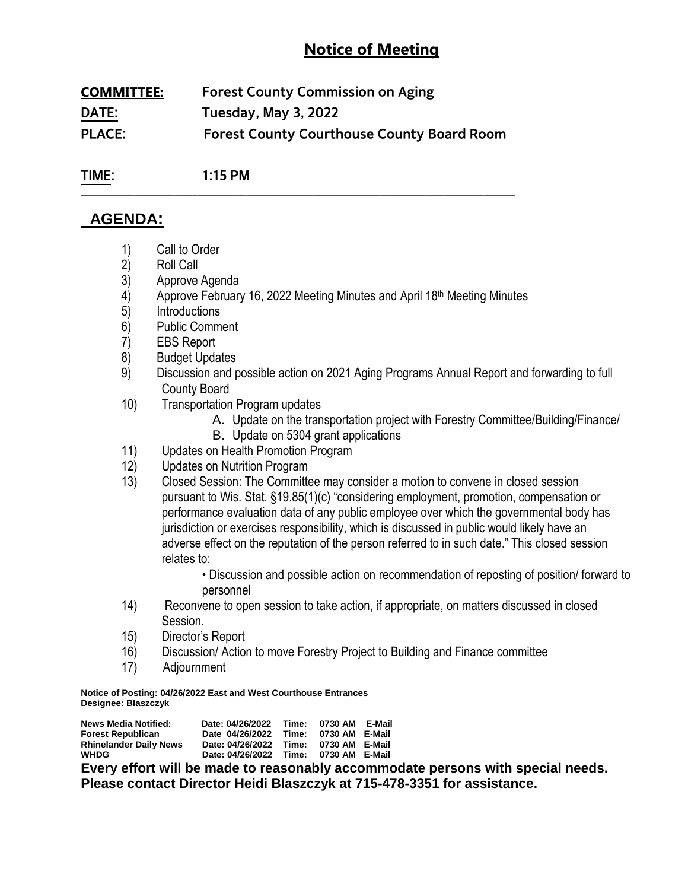# **Notice of Meeting**

| <b>COMMITTEE:</b> | <b>Forest County Commission on Aging</b>          |  |  |
|-------------------|---------------------------------------------------|--|--|
| DATE:             | Tuesday, May 3, 2022                              |  |  |
| <b>PLACE:</b>     | <b>Forest County Courthouse County Board Room</b> |  |  |

**\_\_\_\_\_\_\_\_\_\_\_\_\_\_\_\_\_\_\_\_\_\_\_\_\_\_\_\_\_\_\_\_\_\_\_\_\_\_\_\_\_\_\_\_\_\_\_\_\_\_\_\_\_\_\_\_\_\_\_\_\_\_\_\_\_\_\_\_\_\_\_\_\_\_\_\_\_\_\_\_\_\_\_\_\_\_\_\_\_\_\_\_\_\_\_\_\_**

**TIME: 1:15 PM**

# **AGENDA:**

- 1) Call to Order
- 2) Roll Call
- 3) Approve Agenda
- 4) Approve February 16, 2022 Meeting Minutes and April 18<sup>th</sup> Meeting Minutes
- 5) Introductions
- 6) Public Comment
- 7) EBS Report
- 8) Budget Updates
- 9) Discussion and possible action on 2021 Aging Programs Annual Report and forwarding to full County Board
- 10) Transportation Program updates
	- A. Update on the transportation project with Forestry Committee/Building/Finance/
	- B. Update on 5304 grant applications
- 11) Updates on Health Promotion Program
- 12) Updates on Nutrition Program
- 13) Closed Session: The Committee may consider a motion to convene in closed session pursuant to Wis. Stat. §19.85(1)(c) "considering employment, promotion, compensation or performance evaluation data of any public employee over which the governmental body has jurisdiction or exercises responsibility, which is discussed in public would likely have an adverse effect on the reputation of the person referred to in such date." This closed session relates to:

• Discussion and possible action on recommendation of reposting of position/ forward to personnel

- 14) Reconvene to open session to take action, if appropriate, on matters discussed in closed Session.
- 15) Director's Report
- 16) Discussion/ Action to move Forestry Project to Building and Finance committee
- 17) Adjournment

**Notice of Posting: 04/26/2022 East and West Courthouse Entrances Designee: Blaszczyk**

| <b>News Media Notified:</b>   | Date: 04/26/2022 | Time: | 0730 AM E-Mail |  |
|-------------------------------|------------------|-------|----------------|--|
| <b>Forest Republican</b>      | Date 04/26/2022  | Time: | 0730 AM E-Mail |  |
| <b>Rhinelander Daily News</b> | Date: 04/26/2022 | Time: | 0730 AM E-Mail |  |
| <b>WHDG</b>                   | Date: 04/26/2022 | Time: | 0730 AM E-Mail |  |

**Every effort will be made to reasonably accommodate persons with special needs. Please contact Director Heidi Blaszczyk at 715-478-3351 for assistance.**